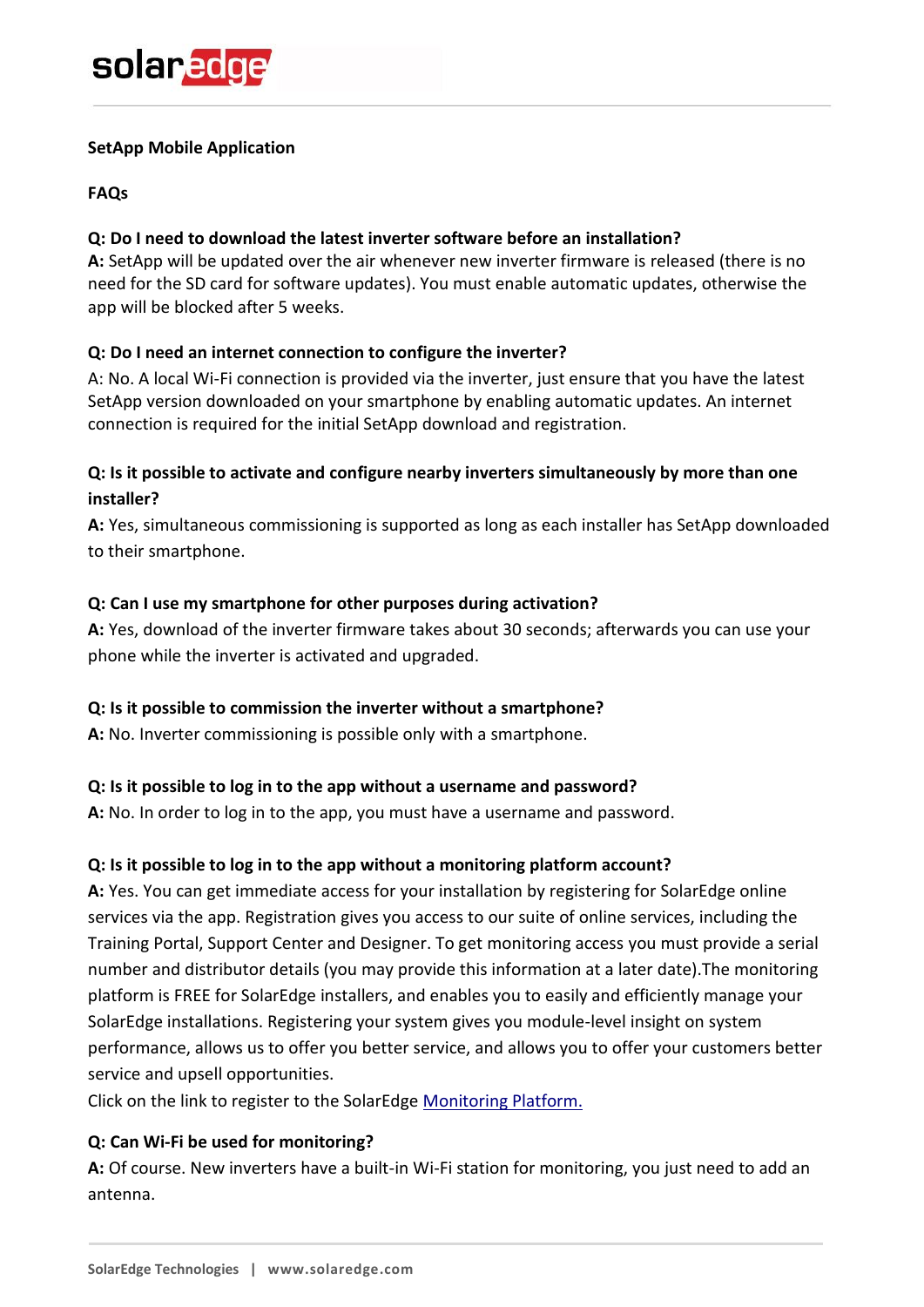#### **SetApp Mobile Application**

### **FAQs**

# **Q: Do I need to download the latest inverter software before an installation?**

**A:** SetApp will be updated over the air whenever new inverter firmware is released (there is no need for the SD card for software updates). You must enable automatic updates, otherwise the app will be blocked after 5 weeks.

# **Q: Do I need an internet connection to configure the inverter?**

A: No. A local Wi-Fi connection is provided via the inverter, just ensure that you have the latest SetApp version downloaded on your smartphone by enabling automatic updates. An internet connection is required for the initial SetApp download and registration.

# **Q: Is it possible to activate and configure nearby inverters simultaneously by more than one installer?**

**A:** Yes, simultaneous commissioning is supported as long as each installer has SetApp downloaded to their smartphone.

# **Q: Can I use my smartphone for other purposes during activation?**

**A:** Yes, download of the inverter firmware takes about 30 seconds; afterwards you can use your phone while the inverter is activated and upgraded.

#### **Q: Is it possible to commission the inverter without a smartphone?**

**A:** No. Inverter commissioning is possible only with a smartphone.

#### **Q: Is it possible to log in to the app without a username and password?**

**A:** No. In order to log in to the app, you must have a username and password.

#### **Q: Is it possible to log in to the app without a monitoring platform account?**

**A:** Yes. You can get immediate access for your installation by registering for SolarEdge online services via the app. Registration gives you access to our suite of online services, including the Training Portal, Support Center and Designer. To get monitoring access you must provide a serial number and distributor details (you may provide this information at a later date).The monitoring platform is FREE for SolarEdge installers, and enables you to easily and efficiently manage your SolarEdge installations. Registering your system gives you module-level insight on system performance, allows us to offer you better service, and allows you to offer your customers better service and upsell opportunities.

Click on the link to register to the SolarEdge [Monitoring Platform.](https://monitoring.solaredge.com/solaredge-web/p/login)

#### **Q: Can Wi-Fi be used for monitoring?**

**A:** Of course. New inverters have a built-in Wi-Fi station for monitoring, you just need to add an antenna.